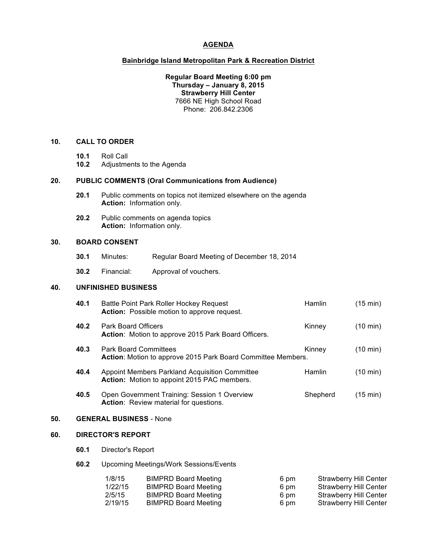#### **AGENDA**

#### **Bainbridge Island Metropolitan Park & Recreation District**

**Regular Board Meeting 6:00 pm Thursday – January 8, 2015 Strawberry Hill Center** 7666 NE High School Road Phone: 206.842.2306

## **10. CALL TO ORDER**

- **10.1** Roll Call
- **10.2** Adjustments to the Agenda

### **20. PUBLIC COMMENTS (Oral Communications from Audience)**

- **20.1** Public comments on topics not itemized elsewhere on the agenda **Action:** Information only.
- **20.2** Public comments on agenda topics **Action:** Information only.

### **30. BOARD CONSENT**

- **30.1** Minutes: Regular Board Meeting of December 18, 2014
- **30.2** Financial: Approval of vouchers.

## **40. UNFINISHED BUSINESS**

|     | 40.1                                                                                                           | Battle Point Park Roller Hockey Request<br>Action: Possible motion to approve request.               | <b>Hamlin</b> | (15 min)           |  |
|-----|----------------------------------------------------------------------------------------------------------------|------------------------------------------------------------------------------------------------------|---------------|--------------------|--|
|     | 40.2                                                                                                           | <b>Park Board Officers</b><br>Action: Motion to approve 2015 Park Board Officers.                    | Kinney        | $(10 \text{ min})$ |  |
|     | 40.3<br><b>Park Board Committees</b><br>Kinney<br>Action: Motion to approve 2015 Park Board Committee Members. |                                                                                                      |               | $(10 \text{ min})$ |  |
|     | 40.4                                                                                                           | <b>Appoint Members Parkland Acquisition Committee</b><br>Action: Motion to appoint 2015 PAC members. | <b>Hamlin</b> | $(10 \text{ min})$ |  |
|     | 40.5                                                                                                           | Open Government Training: Session 1 Overview<br><b>Action:</b> Review material for questions.        | Shepherd      | $(15 \text{ min})$ |  |
| 50. | <b>GENERAL BUSINESS - None</b>                                                                                 |                                                                                                      |               |                    |  |
| 60. | <b>DIRECTOR'S REPORT</b>                                                                                       |                                                                                                      |               |                    |  |
|     | 60.1                                                                                                           | Director's Report                                                                                    |               |                    |  |

**60.2** Upcoming Meetings/Work Sessions/Events

| 1/8/15  | <b>BIMPRD Board Meeting</b> | 6 pm | <b>Strawberry Hill Center</b> |
|---------|-----------------------------|------|-------------------------------|
| 1/22/15 | <b>BIMPRD Board Meeting</b> | 6 pm | Strawberry Hill Center        |
| 2/5/15  | <b>BIMPRD Board Meeting</b> | 6 pm | Strawberry Hill Center        |
| 2/19/15 | <b>BIMPRD Board Meeting</b> | 6 pm | Strawberry Hill Center        |